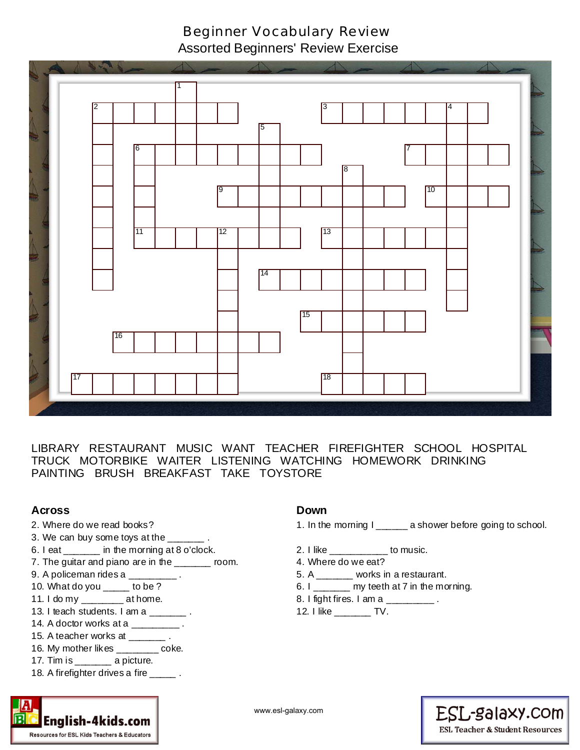## Beginner Vocabulary Review

Assorted Beginners' Review Exercise



LIBRARY RESTAURANT MUSIC WANT TEACHER FIREFIGHTER SCHOOL HOSPITAL TRUCK MOTORBIKE WAITER LISTENING WATCHING HOMEWORK DRINKING PAINTING BRUSH BREAKFAST TAKE TOYSTORE

### **Across**

- 2. Where do we read books?
- 3. We can buy some toys at the \_\_\_\_
- 6. I eat \_\_\_\_\_\_\_ in the morning at 8 o'clock.
- 7. The guitar and piano are in the \_\_\_\_\_\_ room.
- 9. A policeman rides a \_\_\_\_\_\_\_\_\_\_.
- 10. What do you \_\_\_\_\_ to be ?
- 11. I do my \_\_\_\_\_\_\_\_ at home.
- 13. I teach students. I am a \_\_\_\_\_\_\_ .
- 14. A doctor works at a \_\_\_\_\_\_\_\_\_.
- 15. A teacher works at \_\_\_\_\_\_\_ .
- 16. My mother likes \_\_\_\_\_\_\_\_ coke.
- 17. Tim is \_\_\_\_\_\_\_ a picture.

Resources for ESL Kids Teachers & Educators

18. A firefighter drives a fire \_\_\_\_\_.

#### **Down**

- 1. In the morning I \_\_\_\_\_\_ a shower before going to school.
- 2. I like \_\_\_\_\_\_\_\_\_\_\_ to music.
- 4. Where do we eat?
- 5. A \_\_\_\_\_\_ works in a restaurant.
- 6. I  $\frac{1}{1}$  my teeth at 7 in the morning.
- 8. I fight fires. I am a \_\_\_\_\_\_\_\_\_.
- 12. I like \_\_\_\_\_\_\_ TV.



English-4kids.com